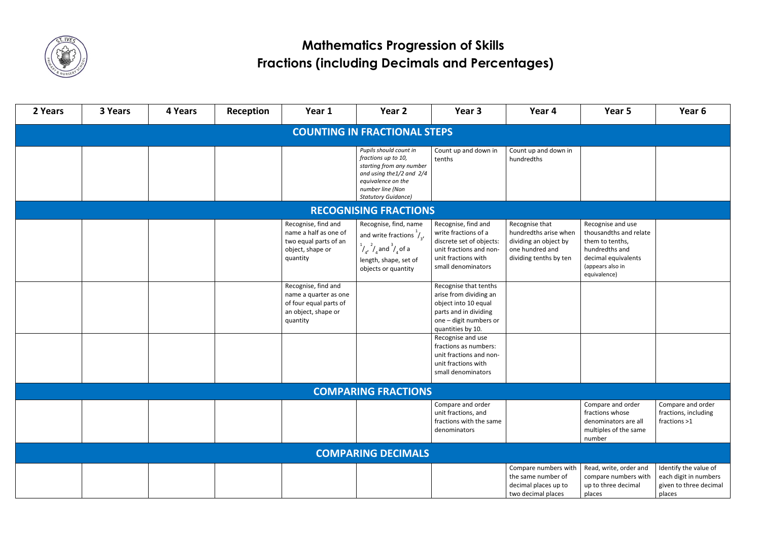

| 2 Years                             | 3 Years | 4 Years | Reception | Year 1                                                                                                    | Year 2                                                                                                                                                                             | Year 3                                                                                                                                          | Year 4                                                                                                        | Year 5                                                                                                                                      | Year 6                                                                             |  |
|-------------------------------------|---------|---------|-----------|-----------------------------------------------------------------------------------------------------------|------------------------------------------------------------------------------------------------------------------------------------------------------------------------------------|-------------------------------------------------------------------------------------------------------------------------------------------------|---------------------------------------------------------------------------------------------------------------|---------------------------------------------------------------------------------------------------------------------------------------------|------------------------------------------------------------------------------------|--|
| <b>COUNTING IN FRACTIONAL STEPS</b> |         |         |           |                                                                                                           |                                                                                                                                                                                    |                                                                                                                                                 |                                                                                                               |                                                                                                                                             |                                                                                    |  |
|                                     |         |         |           |                                                                                                           | Pupils should count in<br>fractions up to 10,<br>starting from any number<br>and using the $1/2$ and $2/4$<br>equivalence on the<br>number line (Non<br><b>Statutory Guidance)</b> | Count up and down in<br>tenths                                                                                                                  | Count up and down in<br>hundredths                                                                            |                                                                                                                                             |                                                                                    |  |
|                                     |         |         |           |                                                                                                           | <b>RECOGNISING FRACTIONS</b>                                                                                                                                                       |                                                                                                                                                 |                                                                                                               |                                                                                                                                             |                                                                                    |  |
|                                     |         |         |           | Recognise, find and<br>name a half as one of<br>two equal parts of an<br>object, shape or<br>quantity     | Recognise, find, name<br>and write fractions $\frac{1}{4}$ ,<br>$\frac{1}{4}$ , $\frac{2}{4}$ and $\frac{3}{4}$ of a<br>length, shape, set of<br>objects or quantity               | Recognise, find and<br>write fractions of a<br>discrete set of objects:<br>unit fractions and non-<br>unit fractions with<br>small denominators | Recognise that<br>hundredths arise when<br>dividing an object by<br>one hundred and<br>dividing tenths by ten | Recognise and use<br>thousandths and relate<br>them to tenths,<br>hundredths and<br>decimal equivalents<br>(appears also in<br>equivalence) |                                                                                    |  |
|                                     |         |         |           | Recognise, find and<br>name a quarter as one<br>of four equal parts of<br>an object, shape or<br>quantity |                                                                                                                                                                                    | Recognise that tenths<br>arise from dividing an<br>object into 10 equal<br>parts and in dividing<br>one - digit numbers or<br>quantities by 10. |                                                                                                               |                                                                                                                                             |                                                                                    |  |
|                                     |         |         |           |                                                                                                           |                                                                                                                                                                                    | Recognise and use<br>fractions as numbers:<br>unit fractions and non-<br>unit fractions with<br>small denominators                              |                                                                                                               |                                                                                                                                             |                                                                                    |  |
|                                     |         |         |           |                                                                                                           | <b>COMPARING FRACTIONS</b>                                                                                                                                                         |                                                                                                                                                 |                                                                                                               |                                                                                                                                             |                                                                                    |  |
|                                     |         |         |           |                                                                                                           |                                                                                                                                                                                    | Compare and order<br>unit fractions, and<br>fractions with the same<br>denominators                                                             |                                                                                                               | Compare and order<br>fractions whose<br>denominators are all<br>multiples of the same<br>number                                             | Compare and order<br>fractions, including<br>fractions >1                          |  |
|                                     |         |         |           |                                                                                                           | <b>COMPARING DECIMALS</b>                                                                                                                                                          |                                                                                                                                                 |                                                                                                               |                                                                                                                                             |                                                                                    |  |
|                                     |         |         |           |                                                                                                           |                                                                                                                                                                                    |                                                                                                                                                 | Compare numbers with<br>the same number of<br>decimal places up to<br>two decimal places                      | Read, write, order and<br>compare numbers with<br>up to three decimal<br>places                                                             | Identify the value of<br>each digit in numbers<br>given to three decimal<br>places |  |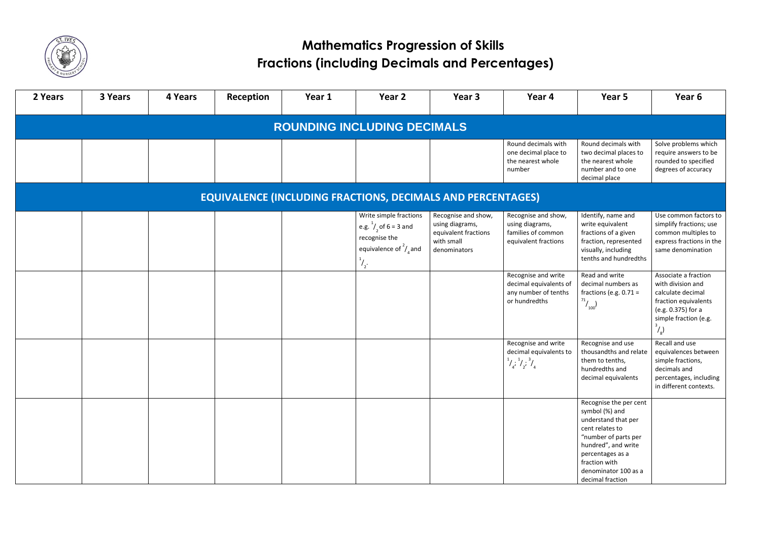

| 2 Years                                                            | 3 Years | 4 Years | Reception | Year 1 | Year 2                                                                                                                          | Year 3                                                                                       | Year 4                                                                                         | Year 5                                                                                                                                                                                                             | Year 6                                                                                                                                                  |  |  |
|--------------------------------------------------------------------|---------|---------|-----------|--------|---------------------------------------------------------------------------------------------------------------------------------|----------------------------------------------------------------------------------------------|------------------------------------------------------------------------------------------------|--------------------------------------------------------------------------------------------------------------------------------------------------------------------------------------------------------------------|---------------------------------------------------------------------------------------------------------------------------------------------------------|--|--|
| <b>ROUNDING INCLUDING DECIMALS</b>                                 |         |         |           |        |                                                                                                                                 |                                                                                              |                                                                                                |                                                                                                                                                                                                                    |                                                                                                                                                         |  |  |
|                                                                    |         |         |           |        |                                                                                                                                 |                                                                                              | Round decimals with<br>one decimal place to<br>the nearest whole<br>number                     | Round decimals with<br>two decimal places to<br>the nearest whole<br>number and to one<br>decimal place                                                                                                            | Solve problems which<br>require answers to be<br>rounded to specified<br>degrees of accuracy                                                            |  |  |
| <b>EQUIVALENCE (INCLUDING FRACTIONS, DECIMALS AND PERCENTAGES)</b> |         |         |           |        |                                                                                                                                 |                                                                                              |                                                                                                |                                                                                                                                                                                                                    |                                                                                                                                                         |  |  |
|                                                                    |         |         |           |        | Write simple fractions<br>e.g. $^{1}/_{2}$ of 6 = 3 and<br>recognise the<br>equivalence of $\frac{2}{3}$ and<br>$\frac{1}{2}$ . | Recognise and show,<br>using diagrams,<br>equivalent fractions<br>with small<br>denominators | Recognise and show,<br>using diagrams,<br>families of common<br>equivalent fractions           | Identify, name and<br>write equivalent<br>fractions of a given<br>fraction, represented<br>visually, including<br>tenths and hundredths                                                                            | Use common factors to<br>simplify fractions; use<br>common multiples to<br>express fractions in the<br>same denomination                                |  |  |
|                                                                    |         |         |           |        |                                                                                                                                 |                                                                                              | Recognise and write<br>decimal equivalents of<br>any number of tenths<br>or hundredths         | Read and write<br>decimal numbers as<br>fractions (e.g. $0.71 =$<br>$^{71}/_{100}$                                                                                                                                 | Associate a fraction<br>with division and<br>calculate decimal<br>fraction equivalents<br>(e.g. 0.375) for a<br>simple fraction (e.g.<br>$\binom{1}{8}$ |  |  |
|                                                                    |         |         |           |        |                                                                                                                                 |                                                                                              | Recognise and write<br>decimal equivalents to<br>$\frac{1}{4}$ , $\frac{1}{2}$ , $\frac{3}{4}$ | Recognise and use<br>thousandths and relate<br>them to tenths,<br>hundredths and<br>decimal equivalents                                                                                                            | Recall and use<br>equivalences between<br>simple fractions,<br>decimals and<br>percentages, including<br>in different contexts.                         |  |  |
|                                                                    |         |         |           |        |                                                                                                                                 |                                                                                              |                                                                                                | Recognise the per cent<br>symbol (%) and<br>understand that per<br>cent relates to<br>"number of parts per<br>hundred", and write<br>percentages as a<br>fraction with<br>denominator 100 as a<br>decimal fraction |                                                                                                                                                         |  |  |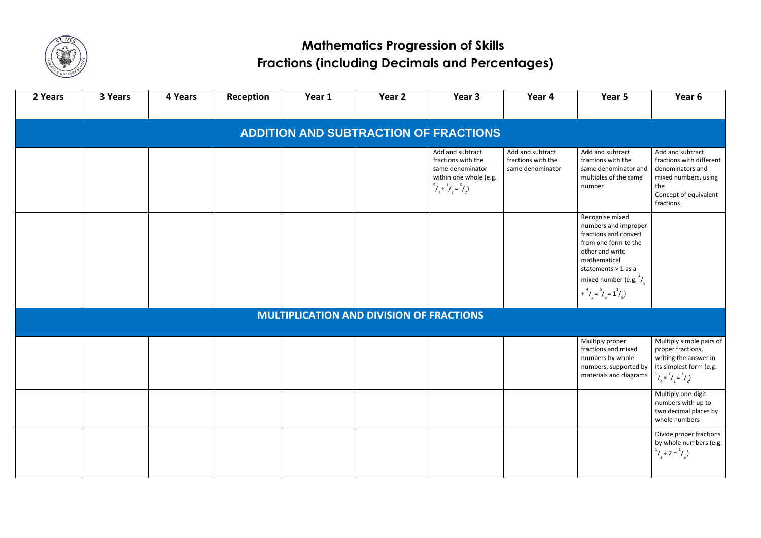

| 2 Years | 3 Years | 4 Years | Reception | Year 1                                          | Year 2 | Year 3                                                                                                                               | Year 4                                                     | Year 5                                                                                                                                                                                   | Year <sub>6</sub>                                                                                                                      |
|---------|---------|---------|-----------|-------------------------------------------------|--------|--------------------------------------------------------------------------------------------------------------------------------------|------------------------------------------------------------|------------------------------------------------------------------------------------------------------------------------------------------------------------------------------------------|----------------------------------------------------------------------------------------------------------------------------------------|
|         |         |         |           |                                                 |        | <b>ADDITION AND SUBTRACTION OF FRACTIONS</b>                                                                                         |                                                            |                                                                                                                                                                                          |                                                                                                                                        |
|         |         |         |           |                                                 |        | Add and subtract<br>fractions with the<br>same denominator<br>within one whole (e.g.<br>$\binom{5}{7} + \binom{1}{7} = \binom{6}{7}$ | Add and subtract<br>fractions with the<br>same denominator | Add and subtract<br>fractions with the<br>same denominator and<br>multiples of the same<br>number                                                                                        | Add and subtrac<br>fractions with di<br>denominators a<br>mixed numbers,<br>the<br>Concept of equiv<br>fractions                       |
|         |         |         |           |                                                 |        |                                                                                                                                      |                                                            | Recognise mixed<br>numbers and improper<br>fractions and convert<br>from one form to the<br>other and write<br>mathematical<br>statements > 1 as a<br>mixed number (e.g. $\frac{2}{5}$ ) |                                                                                                                                        |
|         |         |         |           |                                                 |        |                                                                                                                                      |                                                            | + $^{4}/_{5} = ^{6}/_{5} = 1^{1}/_{5}$                                                                                                                                                   |                                                                                                                                        |
|         |         |         |           | <b>MULTIPLICATION AND DIVISION OF FRACTIONS</b> |        |                                                                                                                                      |                                                            |                                                                                                                                                                                          |                                                                                                                                        |
|         |         |         |           |                                                 |        |                                                                                                                                      |                                                            | Multiply proper<br>fractions and mixed<br>numbers by whole<br>numbers, supported by<br>materials and diagrams                                                                            | Multiply simple<br>proper fractions<br>writing the answ<br>its simplest form<br>$\int_{4}^{1}/\times \int_{2}^{1}/\times \int_{8}^{1}$ |
|         |         |         |           |                                                 |        |                                                                                                                                      |                                                            |                                                                                                                                                                                          | Multiply one-dig<br>numbers with up<br>two decimal pla<br>whole numbers                                                                |
|         |         |         |           |                                                 |        |                                                                                                                                      |                                                            |                                                                                                                                                                                          | Divide proper fra<br>by whole numbe<br>$\frac{1}{3}$ ÷ 2 = $\frac{1}{6}$ )                                                             |

| Year 5                                                                                                                                                                                                                                    | Year 6                                                                                                                                          |  |  |  |  |
|-------------------------------------------------------------------------------------------------------------------------------------------------------------------------------------------------------------------------------------------|-------------------------------------------------------------------------------------------------------------------------------------------------|--|--|--|--|
|                                                                                                                                                                                                                                           |                                                                                                                                                 |  |  |  |  |
| Add and subtract<br>fractions with the<br>same denominator and<br>multiples of the same<br>number                                                                                                                                         | Add and subtract<br>fractions with different<br>denominators and<br>mixed numbers, using<br>the<br>Concept of equivalent<br>fractions           |  |  |  |  |
| Recognise mixed<br>numbers and improper<br>fractions and convert<br>from one form to the<br>other and write<br>mathematical<br>statements $>$ 1 as a<br>mixed number (e.g. $\frac{2}{5}$<br>+ $^{4}/_{5}$ = $^{6}/_{5}$ = 1 $^{1}/_{5}$ ) |                                                                                                                                                 |  |  |  |  |
|                                                                                                                                                                                                                                           |                                                                                                                                                 |  |  |  |  |
| Multiply proper<br>fractions and mixed<br>numbers by whole<br>numbers, supported by<br>materials and diagrams                                                                                                                             | Multiply simple pairs of<br>proper fractions,<br>writing the answer in<br>its simplest form (e.g.<br>$\frac{1}{4}x^{1}/\frac{1}{2}=\frac{1}{8}$ |  |  |  |  |
|                                                                                                                                                                                                                                           | Multiply one-digit<br>numbers with up to<br>two decimal places by<br>whole numbers                                                              |  |  |  |  |
|                                                                                                                                                                                                                                           | Divide proper fractions<br>by whole numbers (e.g.<br>$\frac{1}{3}$ ÷ 2 = $\frac{1}{6}$ )                                                        |  |  |  |  |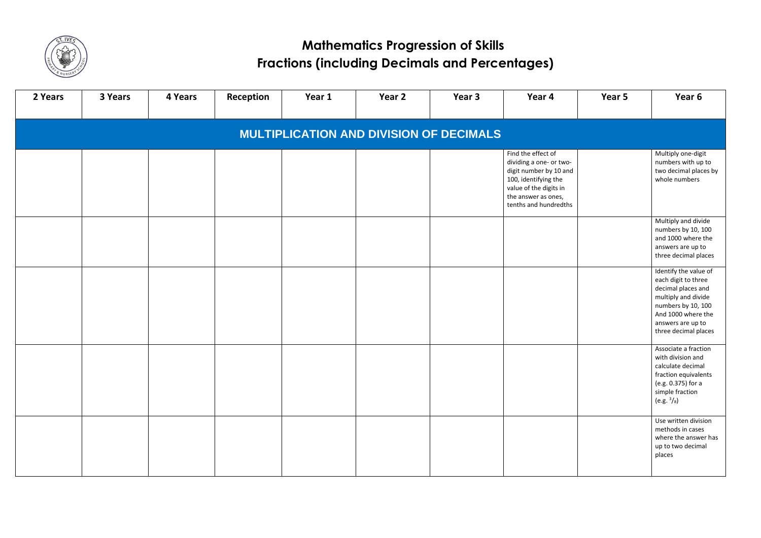



| 2 Years                                        | 3 Years | 4 Years | Reception | Year 1 | Year 2 | Year 3 | Year 4                                                                                                                                                                    | Year 5 | Year 6                                                                                                                                                                             |  |
|------------------------------------------------|---------|---------|-----------|--------|--------|--------|---------------------------------------------------------------------------------------------------------------------------------------------------------------------------|--------|------------------------------------------------------------------------------------------------------------------------------------------------------------------------------------|--|
| <b>MULTIPLICATION AND DIVISION OF DECIMALS</b> |         |         |           |        |        |        |                                                                                                                                                                           |        |                                                                                                                                                                                    |  |
|                                                |         |         |           |        |        |        | Find the effect of<br>dividing a one- or two-<br>digit number by 10 and<br>100, identifying the<br>value of the digits in<br>the answer as ones,<br>tenths and hundredths |        | Multiply one-digit<br>numbers with up to<br>two decimal places by<br>whole numbers                                                                                                 |  |
|                                                |         |         |           |        |        |        |                                                                                                                                                                           |        | Multiply and divide<br>numbers by 10, 100<br>and 1000 where the<br>answers are up to<br>three decimal places                                                                       |  |
|                                                |         |         |           |        |        |        |                                                                                                                                                                           |        | Identify the value of<br>each digit to three<br>decimal places and<br>multiply and divide<br>numbers by 10, 100<br>And 1000 where the<br>answers are up to<br>three decimal places |  |
|                                                |         |         |           |        |        |        |                                                                                                                                                                           |        | Associate a fraction<br>with division and<br>calculate decimal<br>fraction equivalents<br>(e.g. 0.375) for a<br>simple fraction<br>(e.g. $\frac{3}{8}$ )                           |  |
|                                                |         |         |           |        |        |        |                                                                                                                                                                           |        | Use written division<br>methods in cases<br>where the answer has<br>up to two decimal<br>places                                                                                    |  |